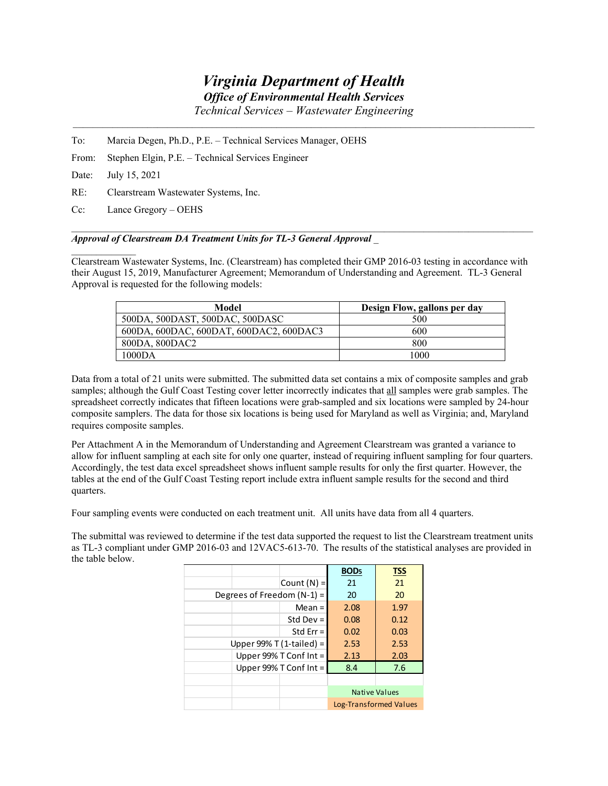## *Virginia Department of Health*

*Office of Environmental Health Services* 

*Technical Services – Wastewater Engineering* 

- To: Marcia Degen, Ph.D., P.E. Technical Services Manager, OEHS
- From: Stephen Elgin, P.E. Technical Services Engineer

Date: July 15, 2021

 $\mathcal{L}=\mathcal{L}^{\mathcal{L}}$ 

- RE: Clearstream Wastewater Systems, Inc.
- Cc: Lance Gregory OEHS

## *Approval of Clearstream DA Treatment Units for TL-3 General Approval* \_

Clearstream Wastewater Systems, Inc. (Clearstream) has completed their GMP 2016-03 testing in accordance with their August 15, 2019, Manufacturer Agreement; Memorandum of Understanding and Agreement. TL-3 General Approval is requested for the following models:

| Model                                   | Design Flow, gallons per day |  |
|-----------------------------------------|------------------------------|--|
| 500DA, 500DAST, 500DAC, 500DASC         | 500                          |  |
| 600DA, 600DAC, 600DAT, 600DAC2, 600DAC3 | 600                          |  |
| 800DA, 800DAC2                          | 800                          |  |
| 1000DA                                  | 1000                         |  |

Data from a total of 21 units were submitted. The submitted data set contains a mix of composite samples and grab samples; although the Gulf Coast Testing cover letter incorrectly indicates that all samples were grab samples. The spreadsheet correctly indicates that fifteen locations were grab-sampled and six locations were sampled by 24-hour composite samplers. The data for those six locations is being used for Maryland as well as Virginia; and, Maryland requires composite samples.

Per Attachment A in the Memorandum of Understanding and Agreement Clearstream was granted a variance to allow for influent sampling at each site for only one quarter, instead of requiring influent sampling for four quarters. Accordingly, the test data excel spreadsheet shows influent sample results for only the first quarter. However, the tables at the end of the Gulf Coast Testing report include extra influent sample results for the second and third quarters.

Four sampling events were conducted on each treatment unit. All units have data from all 4 quarters.

The submittal was reviewed to determine if the test data supported the request to list the Clearstream treatment units as TL-3 compliant under GMP 2016-03 and 12VAC5-613-70. The results of the statistical analyses are provided in the table below.

|                             |                              |               | BOD <sub>5</sub>       | <b>TSS</b> |  |
|-----------------------------|------------------------------|---------------|------------------------|------------|--|
|                             |                              | Count $(N) =$ | 21                     | 21         |  |
|                             | Degrees of Freedom $(N-1)$ = |               | 20                     | 20         |  |
|                             |                              | $Mean =$      | 2.08                   | 1.97       |  |
|                             |                              | Std Dev $=$   | 0.08                   | 0.12       |  |
|                             |                              | Std $Err =$   | 0.02                   | 0.03       |  |
| Upper $99\%$ T (1-tailed) = |                              | 2.53          | 2.53                   |            |  |
|                             | Upper 99% T Conf Int =       |               | 2.13                   | 2.03       |  |
|                             | Upper 99% T Conf Int =       |               | 8.4                    | 7.6        |  |
|                             |                              |               |                        |            |  |
|                             |                              |               | Native Values          |            |  |
|                             |                              |               | Log-Transformed Values |            |  |